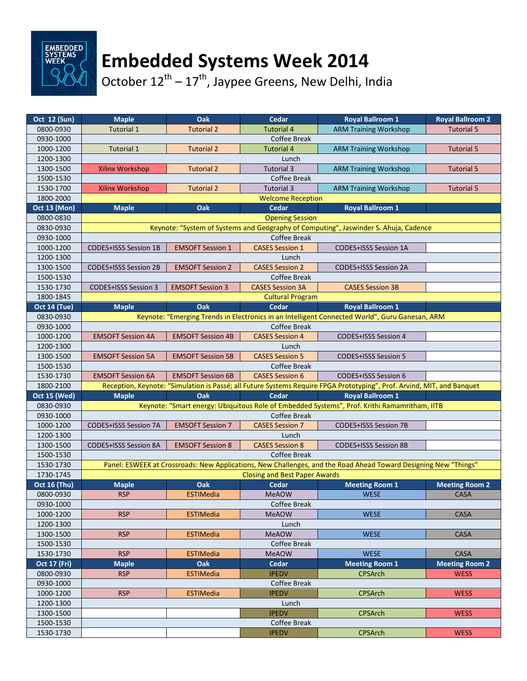

# **Embedded Systems Week 2014**

October 12<sup>th</sup> – 17<sup>th</sup>, Jaypee Greens, New Delhi, India

| Oct 12 (Sun)        | <b>Maple</b>                 | Oak                      | <b>Cedar</b>                         | <b>Royal Ballroom 1</b>                                                                                                | <b>Royal Ballroom 2</b> |
|---------------------|------------------------------|--------------------------|--------------------------------------|------------------------------------------------------------------------------------------------------------------------|-------------------------|
| 0800-0930           | <b>Tutorial 1</b>            | <b>Tutorial 2</b>        | <b>Tutorial 4</b>                    | <b>ARM Training Workshop</b>                                                                                           | <b>Tutorial 5</b>       |
| 0930-1000           | <b>Coffee Break</b>          |                          |                                      |                                                                                                                        |                         |
| 1000-1200           | <b>Tutorial 1</b>            | <b>Tutorial 2</b>        | <b>Tutorial 4</b>                    | <b>ARM Training Workshop</b>                                                                                           | <b>Tutorial 5</b>       |
| 1200-1300           |                              |                          | Lunch                                |                                                                                                                        |                         |
| 1300-1500           | <b>Xilinx Workshop</b>       | <b>Tutorial 2</b>        | <b>Tutorial 3</b>                    | <b>ARM Training Workshop</b>                                                                                           | <b>Tutorial 5</b>       |
| 1500-1530           |                              |                          | <b>Coffee Break</b>                  |                                                                                                                        |                         |
| 1530-1700           | <b>Xilinx Workshop</b>       | <b>Tutorial 2</b>        | <b>Tutorial 3</b>                    | <b>ARM Training Workshop</b>                                                                                           | <b>Tutorial 5</b>       |
| 1800-2000           |                              |                          | <b>Welcome Reception</b>             |                                                                                                                        |                         |
| <b>Oct 13 (Mon)</b> | <b>Maple</b>                 | Oak                      | <b>Cedar</b>                         | <b>Royal Ballroom 1</b>                                                                                                |                         |
| 0800-0830           |                              |                          | <b>Opening Session</b>               |                                                                                                                        |                         |
| 0830-0930           |                              |                          |                                      | Keynote: "System of Systems and Geography of Computing", Jaswinder S. Ahuja, Cadence                                   |                         |
| 0930-1000           |                              |                          | Coffee Break                         |                                                                                                                        |                         |
| 1000-1200           | <b>CODES+ISSS Session 1B</b> | <b>EMSOFT Session 1</b>  | <b>CASES Session 1</b>               | CODES+ISSS Session 1A                                                                                                  |                         |
| 1200-1300           |                              |                          | Lunch                                |                                                                                                                        |                         |
| 1300-1500           | CODES+ISSS Session 2B        | <b>EMSOFT Session 2</b>  | <b>CASES Session 2</b>               | CODES+ISSS Session 2A                                                                                                  |                         |
| 1500-1530           |                              |                          | <b>Coffee Break</b>                  |                                                                                                                        |                         |
| 1530-1730           | CODES+ISSS Session 3         | <b>EMSOFT Session 3</b>  | <b>CASES Session 3A</b>              | <b>CASES Session 3B</b>                                                                                                |                         |
| 1800-1845           |                              |                          | <b>Cultural Program</b>              |                                                                                                                        |                         |
| <b>Oct 14 (Tue)</b> | <b>Maple</b>                 | <b>Oak</b>               | Cedar                                | <b>Royal Ballroom 1</b>                                                                                                |                         |
| 0830-0930           |                              |                          |                                      | Keynote: "Emerging Trends in Electronics in an Intelligent Connected World", Guru Ganesan, ARM                         |                         |
| 0930-1000           |                              |                          | Coffee Break                         |                                                                                                                        |                         |
| 1000-1200           | <b>EMSOFT Session 4A</b>     | <b>EMSOFT Session 4B</b> | <b>CASES Session 4</b>               | CODES+ISSS Session 4                                                                                                   |                         |
| 1200-1300           |                              |                          | Lunch                                |                                                                                                                        |                         |
| 1300-1500           | <b>EMSOFT Session 5A</b>     | <b>EMSOFT Session 5B</b> | <b>CASES Session 5</b>               | CODES+ISSS Session 5                                                                                                   |                         |
| 1500-1530           |                              |                          | <b>Coffee Break</b>                  |                                                                                                                        |                         |
| 1530-1730           | <b>EMSOFT Session 6A</b>     | <b>EMSOFT Session 6B</b> | <b>CASES Session 6</b>               | CODES+ISSS Session 6                                                                                                   |                         |
| 1800-2100           |                              |                          |                                      | Reception, Keynote: "Simulation is Passé; all Future Systems Require FPGA Prototyping", Prof. Arvind, MIT, and Banquet |                         |
| <b>Oct 15 (Wed)</b> | <b>Maple</b>                 | <b>Oak</b>               | <b>Cedar</b>                         | <b>Royal Ballroom 1</b>                                                                                                |                         |
| 0830-0930           |                              |                          |                                      | Keynote: "Smart energy: Ubiquitous Role of Embedded Systems", Prof. Krithi Ramamritham, IITB                           |                         |
| 0930-1000           |                              |                          | Coffee Break                         |                                                                                                                        |                         |
| 1000-1200           | CODES+ISSS Session 7A        | <b>EMSOFT Session 7</b>  | <b>CASES Session 7</b>               | <b>CODES+ISSS Session 7B</b>                                                                                           |                         |
| 1200-1300           |                              |                          | Lunch                                |                                                                                                                        |                         |
| 1300-1500           | CODES+ISSS Session 8A        | <b>EMSOFT Session 8</b>  | <b>CASES Session 8</b>               | <b>CODES+ISSS Session 8B</b>                                                                                           |                         |
| 1500-1530           |                              |                          | <b>Coffee Break</b>                  |                                                                                                                        |                         |
| 1530-1730           |                              |                          |                                      | Panel: ESWEEK at Crossroads: New Applications, New Challenges, and the Road Ahead Toward Designing New "Things"        |                         |
| 1730-1745           |                              |                          | <b>Closing and Best Paper Awards</b> |                                                                                                                        |                         |
| <b>Oct 16 (Thu)</b> | <b>Maple</b>                 | Oak                      | Cedar                                | <b>Meeting Room 1</b>                                                                                                  | <b>Meeting Room 2</b>   |
| 0800-0930           | <b>RSP</b>                   | <b>ESTIMedia</b>         | <b>MeAOW</b>                         | <b>WESE</b>                                                                                                            | <b>CASA</b>             |
| 0930-1000           |                              |                          | Coffee Break                         |                                                                                                                        |                         |
| 1000-1200           | <b>RSP</b>                   | <b>ESTIMedia</b>         | <b>MeAOW</b>                         | <b>WESE</b>                                                                                                            | <b>CASA</b>             |
| 1200-1300           |                              |                          | Lunch                                |                                                                                                                        |                         |
| 1300-1500           | <b>RSP</b>                   | <b>ESTIMedia</b>         | <b>MeAOW</b>                         | <b>WESE</b>                                                                                                            | <b>CASA</b>             |
| 1500-1530           |                              |                          | Coffee Break                         |                                                                                                                        |                         |
| 1530-1730           | <b>RSP</b>                   | <b>ESTIMedia</b>         | <b>MeAOW</b>                         | <b>WESE</b>                                                                                                            | <b>CASA</b>             |
| <b>Oct 17 (Fri)</b> | <b>Maple</b>                 | Oak                      | <b>Cedar</b>                         | <b>Meeting Room 1</b>                                                                                                  | <b>Meeting Room 2</b>   |
| 0800-0930           | <b>RSP</b>                   | <b>ESTIMedia</b>         | <b>IPEDV</b>                         | <b>CPSArch</b>                                                                                                         | <b>WESS</b>             |
| 0930-1000           |                              |                          | Coffee Break                         |                                                                                                                        |                         |
| 1000-1200           | <b>RSP</b>                   | <b>ESTIMedia</b>         | <b>IPEDV</b>                         | <b>CPSArch</b>                                                                                                         | <b>WESS</b>             |
| 1200-1300           |                              |                          | Lunch                                |                                                                                                                        |                         |
| 1300-1500           |                              |                          | <b>IPEDV</b>                         | <b>CPSArch</b>                                                                                                         | <b>WESS</b>             |
| 1500-1530           |                              |                          | <b>Coffee Break</b>                  |                                                                                                                        |                         |
| 1530-1730           |                              |                          | <b>IPEDV</b>                         | <b>CPSArch</b>                                                                                                         | <b>WESS</b>             |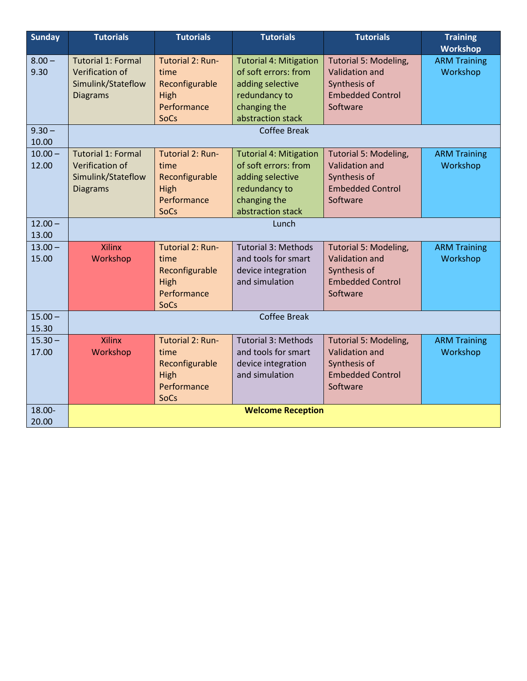| <b>Sunday</b>      | <b>Tutorials</b>                                                                      | <b>Tutorials</b>                                                                 | <b>Tutorials</b>                                                                                                                | <b>Tutorials</b>                                                                                      | <b>Training</b><br><b>Workshop</b> |
|--------------------|---------------------------------------------------------------------------------------|----------------------------------------------------------------------------------|---------------------------------------------------------------------------------------------------------------------------------|-------------------------------------------------------------------------------------------------------|------------------------------------|
| $8.00 -$<br>9.30   | <b>Tutorial 1: Formal</b><br>Verification of<br>Simulink/Stateflow<br><b>Diagrams</b> | Tutorial 2: Run-<br>time<br>Reconfigurable<br>High<br>Performance<br><b>SoCs</b> | <b>Tutorial 4: Mitigation</b><br>of soft errors: from<br>adding selective<br>redundancy to<br>changing the<br>abstraction stack | Tutorial 5: Modeling,<br><b>Validation and</b><br>Synthesis of<br><b>Embedded Control</b><br>Software | <b>ARM Training</b><br>Workshop    |
| $9.30 -$<br>10.00  |                                                                                       |                                                                                  | <b>Coffee Break</b>                                                                                                             |                                                                                                       |                                    |
| $10.00 -$<br>12.00 | <b>Tutorial 1: Formal</b><br>Verification of<br>Simulink/Stateflow<br><b>Diagrams</b> | Tutorial 2: Run-<br>time<br>Reconfigurable<br>High<br>Performance<br><b>SoCs</b> | <b>Tutorial 4: Mitigation</b><br>of soft errors: from<br>adding selective<br>redundancy to<br>changing the<br>abstraction stack | Tutorial 5: Modeling,<br><b>Validation and</b><br>Synthesis of<br><b>Embedded Control</b><br>Software | <b>ARM Training</b><br>Workshop    |
| $12.00 -$<br>13.00 |                                                                                       |                                                                                  | Lunch                                                                                                                           |                                                                                                       |                                    |
| $13.00 -$<br>15.00 | <b>Xilinx</b><br>Workshop                                                             | Tutorial 2: Run-<br>time<br>Reconfigurable<br>High<br>Performance<br><b>SoCs</b> | <b>Tutorial 3: Methods</b><br>and tools for smart<br>device integration<br>and simulation                                       | Tutorial 5: Modeling,<br><b>Validation and</b><br>Synthesis of<br><b>Embedded Control</b><br>Software | <b>ARM Training</b><br>Workshop    |
| $15.00 -$<br>15.30 |                                                                                       | <b>Coffee Break</b>                                                              |                                                                                                                                 |                                                                                                       |                                    |
| $15.30 -$<br>17.00 | <b>Xilinx</b><br>Workshop                                                             | Tutorial 2: Run-<br>time<br>Reconfigurable<br>High<br>Performance<br><b>SoCs</b> | <b>Tutorial 3: Methods</b><br>and tools for smart<br>device integration<br>and simulation                                       | Tutorial 5: Modeling,<br><b>Validation and</b><br>Synthesis of<br><b>Embedded Control</b><br>Software | <b>ARM Training</b><br>Workshop    |
| 18.00-<br>20.00    | <b>Welcome Reception</b>                                                              |                                                                                  |                                                                                                                                 |                                                                                                       |                                    |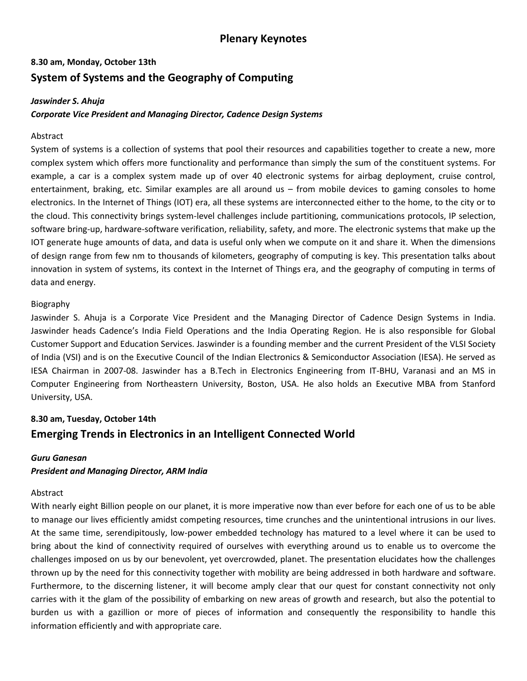# **Plenary Keynotes**

# **8.30 am, Monday, October 13th System of Systems and the Geography of Computing**

### *Jaswinder S. Ahuja*

# *Corporate Vice President and Managing Director, Cadence Design Systems*

# Abstract

System of systems is a collection of systems that pool their resources and capabilities together to create a new, more complex system which offers more functionality and performance than simply the sum of the constituent systems. For example, a car is a complex system made up of over 40 electronic systems for airbag deployment, cruise control, entertainment, braking, etc. Similar examples are all around us – from mobile devices to gaming consoles to home electronics. In the Internet of Things (IOT) era, all these systems are interconnected either to the home, to the city or to the cloud. This connectivity brings system-level challenges include partitioning, communications protocols, IP selection, software bring-up, hardware-software verification, reliability, safety, and more. The electronic systems that make up the IOT generate huge amounts of data, and data is useful only when we compute on it and share it. When the dimensions of design range from few nm to thousands of kilometers, geography of computing is key. This presentation talks about innovation in system of systems, its context in the Internet of Things era, and the geography of computing in terms of data and energy.

### Biography

Jaswinder S. Ahuja is a Corporate Vice President and the Managing Director of Cadence Design Systems in India. Jaswinder heads Cadence's India Field Operations and the India Operating Region. He is also responsible for Global Customer Support and Education Services. Jaswinder is a founding member and the current President of the VLSI Society of India (VSI) and is on the Executive Council of the Indian Electronics & Semiconductor Association (IESA). He served as IESA Chairman in 2007-08. Jaswinder has a B.Tech in Electronics Engineering from IT-BHU, Varanasi and an MS in Computer Engineering from Northeastern University, Boston, USA. He also holds an Executive MBA from Stanford University, USA.

# **8.30 am, Tuesday, October 14th Emerging Trends in Electronics in an Intelligent Connected World**

### *Guru Ganesan*

# *President and Managing Director, ARM India*

### Abstract

With nearly eight Billion people on our planet, it is more imperative now than ever before for each one of us to be able to manage our lives efficiently amidst competing resources, time crunches and the unintentional intrusions in our lives. At the same time, serendipitously, low-power embedded technology has matured to a level where it can be used to bring about the kind of connectivity required of ourselves with everything around us to enable us to overcome the challenges imposed on us by our benevolent, yet overcrowded, planet. The presentation elucidates how the challenges thrown up by the need for this connectivity together with mobility are being addressed in both hardware and software. Furthermore, to the discerning listener, it will become amply clear that our quest for constant connectivity not only carries with it the glam of the possibility of embarking on new areas of growth and research, but also the potential to burden us with a gazillion or more of pieces of information and consequently the responsibility to handle this information efficiently and with appropriate care.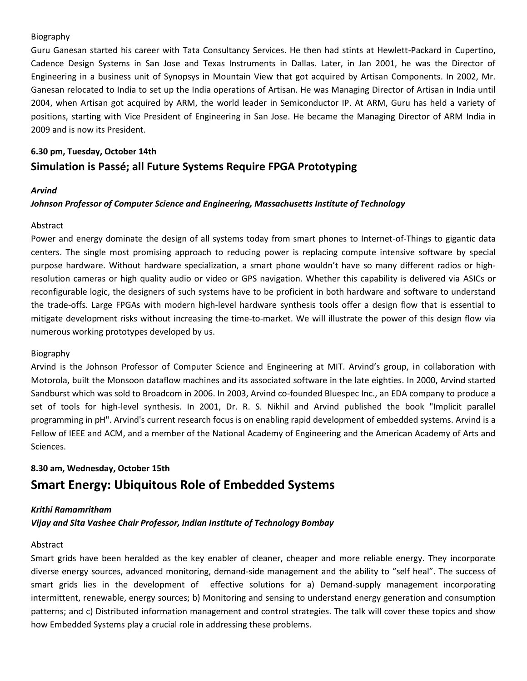### Biography

Guru Ganesan started his career with Tata Consultancy Services. He then had stints at Hewlett-Packard in Cupertino, Cadence Design Systems in San Jose and Texas Instruments in Dallas. Later, in Jan 2001, he was the Director of Engineering in a business unit of Synopsys in Mountain View that got acquired by Artisan Components. In 2002, Mr. Ganesan relocated to India to set up the India operations of Artisan. He was Managing Director of Artisan in India until 2004, when Artisan got acquired by ARM, the world leader in Semiconductor IP. At ARM, Guru has held a variety of positions, starting with Vice President of Engineering in San Jose. He became the Managing Director of ARM India in 2009 and is now its President.

# **6.30 pm, Tuesday, October 14th Simulation is Passé; all Future Systems Require FPGA Prototyping**

#### *Arvind*

#### *Johnson Professor of Computer Science and Engineering, Massachusetts Institute of Technology*

#### Abstract

Power and energy dominate the design of all systems today from smart phones to Internet-of-Things to gigantic data centers. The single most promising approach to reducing power is replacing compute intensive software by special purpose hardware. Without hardware specialization, a smart phone wouldn't have so many different radios or highresolution cameras or high quality audio or video or GPS navigation. Whether this capability is delivered via ASICs or reconfigurable logic, the designers of such systems have to be proficient in both hardware and software to understand the trade-offs. Large FPGAs with modern high-level hardware synthesis tools offer a design flow that is essential to mitigate development risks without increasing the time-to-market. We will illustrate the power of this design flow via numerous working prototypes developed by us.

### Biography

Arvind is the Johnson Professor of Computer Science and Engineering at MIT. Arvind's group, in collaboration with Motorola, built the Monsoon dataflow machines and its associated software in the late eighties. In 2000, Arvind started Sandburst which was sold to Broadcom in 2006. In 2003, Arvind co-founded Bluespec Inc., an EDA company to produce a set of tools for high-level synthesis. In 2001, Dr. R. S. Nikhil and Arvind published the book "Implicit parallel programming in pH". Arvind's current research focus is on enabling rapid development of embedded systems. Arvind is a Fellow of IEEE and ACM, and a member of the National Academy of Engineering and the American Academy of Arts and Sciences.

# **8.30 am, Wednesday, October 15th Smart Energy: Ubiquitous Role of Embedded Systems**

#### *Krithi Ramamritham*

### *Vijay and Sita Vashee Chair Professor, Indian Institute of Technology Bombay*

#### Abstract

Smart grids have been heralded as the key enabler of cleaner, cheaper and more reliable energy. They incorporate diverse energy sources, advanced monitoring, demand-side management and the ability to "self heal". The success of smart grids lies in the development of effective solutions for a) Demand-supply management incorporating intermittent, renewable, energy sources; b) Monitoring and sensing to understand energy generation and consumption patterns; and c) Distributed information management and control strategies. The talk will cover these topics and show how Embedded Systems play a crucial role in addressing these problems.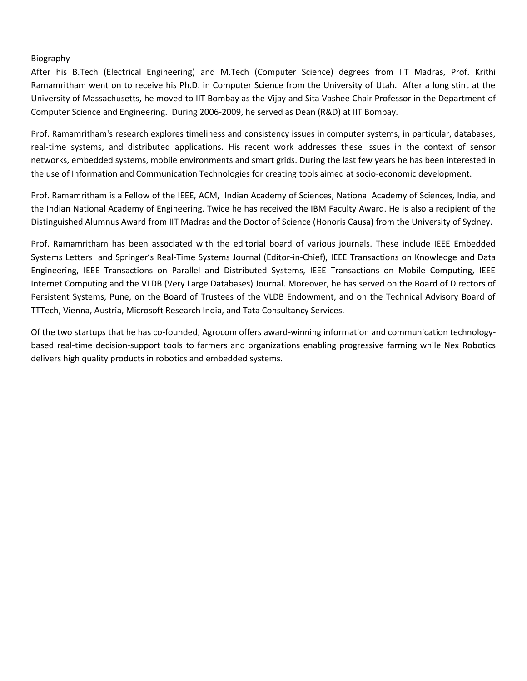#### Biography

After his B.Tech (Electrical Engineering) and M.Tech (Computer Science) degrees from IIT Madras, Prof. Krithi Ramamritham went on to receive his Ph.D. in Computer Science from the University of Utah. After a long stint at the University of Massachusetts, he moved to IIT Bombay as the Vijay and Sita Vashee Chair Professor in the Department of Computer Science and Engineering. During 2006-2009, he served as Dean (R&D) at IIT Bombay.

Prof. Ramamritham's research explores timeliness and consistency issues in computer systems, in particular, databases, real-time systems, and distributed applications. His recent work addresses these issues in the context of sensor networks, embedded systems, mobile environments and smart grids. During the last few years he has been interested in the use of Information and Communication Technologies for creating tools aimed at socio-economic development.

Prof. Ramamritham is a Fellow of the IEEE, ACM, Indian Academy of Sciences, National Academy of Sciences, India, and the Indian National Academy of Engineering. Twice he has received the IBM Faculty Award. He is also a recipient of the Distinguished Alumnus Award from IIT Madras and the Doctor of Science (Honoris Causa) from the University of Sydney.

Prof. Ramamritham has been associated with the editorial board of various journals. These include IEEE Embedded Systems Letters and Springer's Real-Time Systems Journal (Editor-in-Chief), IEEE Transactions on Knowledge and Data Engineering, IEEE Transactions on Parallel and Distributed Systems, IEEE Transactions on Mobile Computing, IEEE Internet Computing and the VLDB (Very Large Databases) Journal. Moreover, he has served on the Board of Directors of Persistent Systems, Pune, on the Board of Trustees of the VLDB Endowment, and on the Technical Advisory Board of TTTech, Vienna, Austria, Microsoft Research India, and Tata Consultancy Services.

Of the two startups that he has co-founded, Agrocom offers award-winning information and communication technologybased real-time decision-support tools to farmers and organizations enabling progressive farming while Nex Robotics delivers high quality products in robotics and embedded systems.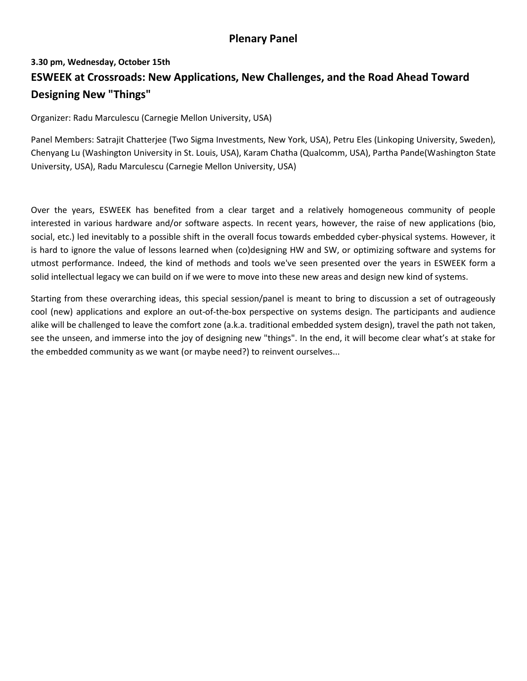# **Plenary Panel**

# **3.30 pm, Wednesday, October 15th ESWEEK at Crossroads: New Applications, New Challenges, and the Road Ahead Toward Designing New "Things"**

Organizer: Radu Marculescu (Carnegie Mellon University, USA)

Panel Members: Satrajit Chatterjee (Two Sigma Investments, New York, USA), Petru Eles (Linkoping University, Sweden), Chenyang Lu (Washington University in St. Louis, USA), Karam Chatha (Qualcomm, USA), Partha Pande(Washington State University, USA), Radu Marculescu (Carnegie Mellon University, USA)

Over the years, ESWEEK has benefited from a clear target and a relatively homogeneous community of people interested in various hardware and/or software aspects. In recent years, however, the raise of new applications (bio, social, etc.) led inevitably to a possible shift in the overall focus towards embedded cyber-physical systems. However, it is hard to ignore the value of lessons learned when (co)designing HW and SW, or optimizing software and systems for utmost performance. Indeed, the kind of methods and tools we've seen presented over the years in ESWEEK form a solid intellectual legacy we can build on if we were to move into these new areas and design new kind of systems.

Starting from these overarching ideas, this special session/panel is meant to bring to discussion a set of outrageously cool (new) applications and explore an out-of-the-box perspective on systems design. The participants and audience alike will be challenged to leave the comfort zone (a.k.a. traditional embedded system design), travel the path not taken, see the unseen, and immerse into the joy of designing new "things". In the end, it will become clear what's at stake for the embedded community as we want (or maybe need?) to reinvent ourselves...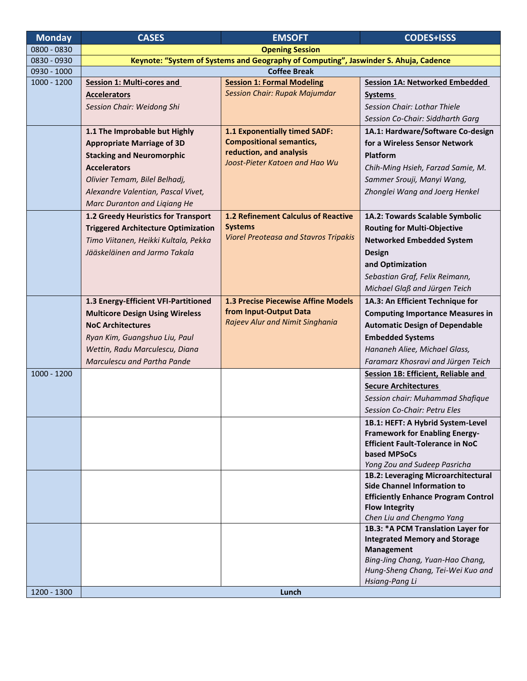| <b>Monday</b> | <b>CASES</b>                                                                         | <b>EMSOFT</b>                                | <b>CODES+ISSS</b>                                                         |
|---------------|--------------------------------------------------------------------------------------|----------------------------------------------|---------------------------------------------------------------------------|
| 0800 - 0830   | <b>Opening Session</b>                                                               |                                              |                                                                           |
| 0830 - 0930   | Keynote: "System of Systems and Geography of Computing", Jaswinder S. Ahuja, Cadence |                                              |                                                                           |
| 0930 - 1000   | <b>Coffee Break</b>                                                                  |                                              |                                                                           |
| $1000 - 1200$ | <b>Session 1: Multi-cores and</b>                                                    | <b>Session 1: Formal Modeling</b>            | <b>Session 1A: Networked Embedded</b>                                     |
|               | <b>Accelerators</b>                                                                  | <b>Session Chair: Rupak Majumdar</b>         | <b>Systems</b>                                                            |
|               | Session Chair: Weidong Shi                                                           |                                              | Session Chair: Lothar Thiele                                              |
|               |                                                                                      |                                              | Session Co-Chair: Siddharth Garg                                          |
|               | 1.1 The Improbable but Highly                                                        | 1.1 Exponentially timed SADF:                | 1A.1: Hardware/Software Co-design                                         |
|               | <b>Appropriate Marriage of 3D</b>                                                    | <b>Compositional semantics,</b>              | for a Wireless Sensor Network                                             |
|               | <b>Stacking and Neuromorphic</b>                                                     | reduction, and analysis                      | Platform                                                                  |
|               | <b>Accelerators</b>                                                                  | Joost-Pieter Katoen and Hao Wu               | Chih-Ming Hsieh, Farzad Samie, M.                                         |
|               | Olivier Temam, Bilel Belhadj,                                                        |                                              | Sammer Srouji, Manyi Wang,                                                |
|               | Alexandre Valentian, Pascal Vivet,                                                   |                                              | Zhonglei Wang and Joerg Henkel                                            |
|               | Marc Duranton and Ligiang He                                                         |                                              |                                                                           |
|               | 1.2 Greedy Heuristics for Transport                                                  | <b>1.2 Refinement Calculus of Reactive</b>   | 1A.2: Towards Scalable Symbolic                                           |
|               | <b>Triggered Architecture Optimization</b>                                           | <b>Systems</b>                               | <b>Routing for Multi-Objective</b>                                        |
|               |                                                                                      | <b>Viorel Preoteasa and Stavros Tripakis</b> | <b>Networked Embedded System</b>                                          |
|               | Timo Viitanen, Heikki Kultala, Pekka<br>Jääskeläinen and Jarmo Takala                |                                              |                                                                           |
|               |                                                                                      |                                              | <b>Design</b>                                                             |
|               |                                                                                      |                                              | and Optimization                                                          |
|               |                                                                                      |                                              | Sebastian Graf, Felix Reimann,                                            |
|               |                                                                                      |                                              | Michael Glaß and Jürgen Teich                                             |
|               | 1.3 Energy-Efficient VFI-Partitioned                                                 | <b>1.3 Precise Piecewise Affine Models</b>   | 1A.3: An Efficient Technique for                                          |
|               | <b>Multicore Design Using Wireless</b>                                               | from Input-Output Data                       | <b>Computing Importance Measures in</b>                                   |
|               | <b>NoC Architectures</b>                                                             | Rajeev Alur and Nimit Singhania              | <b>Automatic Design of Dependable</b>                                     |
|               | Ryan Kim, Guangshuo Liu, Paul                                                        |                                              | <b>Embedded Systems</b>                                                   |
|               | Wettin, Radu Marculescu, Diana                                                       |                                              | Hananeh Aliee, Michael Glass,                                             |
|               | Marculescu and Partha Pande                                                          |                                              | Faramarz Khosravi and Jürgen Teich                                        |
| $1000 - 1200$ |                                                                                      |                                              | Session 1B: Efficient, Reliable and                                       |
|               |                                                                                      |                                              | <b>Secure Architectures</b>                                               |
|               |                                                                                      |                                              | Session chair: Muhammad Shafique                                          |
|               |                                                                                      |                                              | Session Co-Chair: Petru Eles                                              |
|               |                                                                                      |                                              | 1B.1: HEFT: A Hybrid System-Level                                         |
|               |                                                                                      |                                              | <b>Framework for Enabling Energy-</b>                                     |
|               |                                                                                      |                                              | <b>Efficient Fault-Tolerance in NoC</b>                                   |
|               |                                                                                      |                                              | based MPSoCs                                                              |
|               |                                                                                      |                                              | Yong Zou and Sudeep Pasricha                                              |
|               |                                                                                      |                                              | 1B.2: Leveraging Microarchitectural<br><b>Side Channel Information to</b> |
|               |                                                                                      |                                              | <b>Efficiently Enhance Program Control</b>                                |
|               |                                                                                      |                                              | <b>Flow Integrity</b>                                                     |
|               |                                                                                      |                                              | Chen Liu and Chengmo Yang                                                 |
|               |                                                                                      |                                              | 1B.3: * A PCM Translation Layer for                                       |
|               |                                                                                      |                                              | <b>Integrated Memory and Storage</b>                                      |
|               |                                                                                      |                                              | Management                                                                |
|               |                                                                                      |                                              | Bing-Jing Chang, Yuan-Hao Chang,                                          |
|               |                                                                                      |                                              | Hung-Sheng Chang, Tei-Wei Kuo and                                         |
|               |                                                                                      |                                              | Hsiang-Pang Li                                                            |
| 1200 - 1300   |                                                                                      | Lunch                                        |                                                                           |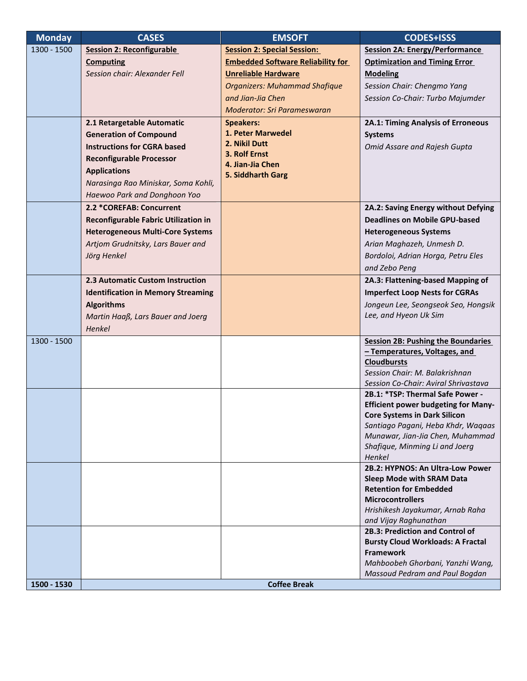| <b>Monday</b> | <b>CASES</b>                                | <b>EMSOFT</b>                            | <b>CODES+ISSS</b>                                                        |
|---------------|---------------------------------------------|------------------------------------------|--------------------------------------------------------------------------|
| 1300 - 1500   | <b>Session 2: Reconfigurable</b>            | <b>Session 2: Special Session:</b>       | <b>Session 2A: Energy/Performance</b>                                    |
|               | <b>Computing</b>                            | <b>Embedded Software Reliability for</b> | <b>Optimization and Timing Error</b>                                     |
|               | Session chair: Alexander Fell               | <b>Unreliable Hardware</b>               | <b>Modeling</b>                                                          |
|               |                                             | <b>Organizers: Muhammad Shafique</b>     | Session Chair: Chengmo Yang                                              |
|               |                                             | and Jian-Jia Chen                        | Session Co-Chair: Turbo Majumder                                         |
|               |                                             | <b>Moderator: Sri Parameswaran</b>       |                                                                          |
|               | 2.1 Retargetable Automatic                  | <b>Speakers:</b>                         | 2A.1: Timing Analysis of Erroneous                                       |
|               | <b>Generation of Compound</b>               | 1. Peter Marwedel                        | <b>Systems</b>                                                           |
|               | <b>Instructions for CGRA based</b>          | 2. Nikil Dutt                            | Omid Assare and Rajesh Gupta                                             |
|               | <b>Reconfigurable Processor</b>             | 3. Rolf Ernst                            |                                                                          |
|               | <b>Applications</b>                         | 4. Jian-Jia Chen                         |                                                                          |
|               | Narasinga Rao Miniskar, Soma Kohli,         | 5. Siddharth Garg                        |                                                                          |
|               | Haewoo Park and Donghoon Yoo                |                                          |                                                                          |
|               | 2.2 *COREFAB: Concurrent                    |                                          | 2A.2: Saving Energy without Defying                                      |
|               | <b>Reconfigurable Fabric Utilization in</b> |                                          | <b>Deadlines on Mobile GPU-based</b>                                     |
|               | <b>Heterogeneous Multi-Core Systems</b>     |                                          | <b>Heterogeneous Systems</b>                                             |
|               | Artjom Grudnitsky, Lars Bauer and           |                                          | Arian Maghazeh, Unmesh D.                                                |
|               | Jörg Henkel                                 |                                          | Bordoloi, Adrian Horga, Petru Eles                                       |
|               |                                             |                                          | and Zebo Peng                                                            |
|               | 2.3 Automatic Custom Instruction            |                                          | 2A.3: Flattening-based Mapping of                                        |
|               | <b>Identification in Memory Streaming</b>   |                                          | <b>Imperfect Loop Nests for CGRAs</b>                                    |
|               | <b>Algorithms</b>                           |                                          | Jongeun Lee, Seongseok Seo, Hongsik                                      |
|               | Martin Haaß, Lars Bauer and Joerg           |                                          | Lee, and Hyeon Uk Sim                                                    |
|               | Henkel                                      |                                          |                                                                          |
| 1300 - 1500   |                                             |                                          | <b>Session 2B: Pushing the Boundaries</b>                                |
|               |                                             |                                          | - Temperatures, Voltages, and                                            |
|               |                                             |                                          | <b>Cloudbursts</b>                                                       |
|               |                                             |                                          | Session Chair: M. Balakrishnan                                           |
|               |                                             |                                          | Session Co-Chair: Aviral Shrivastava<br>2B.1: *TSP: Thermal Safe Power - |
|               |                                             |                                          | <b>Efficient power budgeting for Many-</b>                               |
|               |                                             |                                          | <b>Core Systems in Dark Silicon</b>                                      |
|               |                                             |                                          | Santiago Pagani, Heba Khdr, Waqaas                                       |
|               |                                             |                                          | Munawar, Jian-Jia Chen, Muhammad                                         |
|               |                                             |                                          | Shafique, Minming Li and Joerg                                           |
|               |                                             |                                          | Henkel                                                                   |
|               |                                             |                                          | 2B.2: HYPNOS: An Ultra-Low Power                                         |
|               |                                             |                                          | <b>Sleep Mode with SRAM Data</b><br><b>Retention for Embedded</b>        |
|               |                                             |                                          | <b>Microcontrollers</b>                                                  |
|               |                                             |                                          | Hrishikesh Jayakumar, Arnab Raha                                         |
|               |                                             |                                          | and Vijay Raghunathan                                                    |
|               |                                             |                                          | 2B.3: Prediction and Control of                                          |
|               |                                             |                                          | <b>Bursty Cloud Workloads: A Fractal</b>                                 |
|               |                                             |                                          | <b>Framework</b>                                                         |
|               |                                             |                                          | Mahboobeh Ghorbani, Yanzhi Wang,<br>Massoud Pedram and Paul Bogdan       |
| 1500 - 1530   |                                             | <b>Coffee Break</b>                      |                                                                          |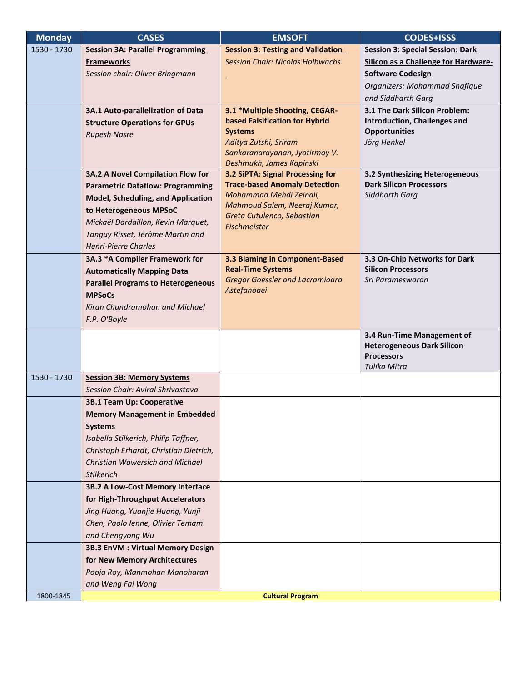| <b>Monday</b> | <b>CASES</b>                              | <b>EMSOFT</b>                                           | <b>CODES+ISSS</b>                       |
|---------------|-------------------------------------------|---------------------------------------------------------|-----------------------------------------|
| 1530 - 1730   | <b>Session 3A: Parallel Programming</b>   | <b>Session 3: Testing and Validation</b>                | <b>Session 3: Special Session: Dark</b> |
|               | <b>Frameworks</b>                         | <b>Session Chair: Nicolas Halbwachs</b>                 | Silicon as a Challenge for Hardware-    |
|               | Session chair: Oliver Bringmann           |                                                         | <b>Software Codesign</b>                |
|               |                                           |                                                         | Organizers: Mohammad Shafique           |
|               |                                           |                                                         | and Siddharth Garg                      |
|               | 3A.1 Auto-parallelization of Data         | 3.1 *Multiple Shooting, CEGAR-                          | 3.1 The Dark Silicon Problem:           |
|               | <b>Structure Operations for GPUs</b>      | based Falsification for Hybrid                          | Introduction, Challenges and            |
|               | <b>Rupesh Nasre</b>                       | <b>Systems</b>                                          | <b>Opportunities</b>                    |
|               |                                           | Aditya Zutshi, Sriram<br>Sankaranarayanan, Jyotirmoy V. | Jörg Henkel                             |
|               |                                           | Deshmukh, James Kapinski                                |                                         |
|               | <b>3A.2 A Novel Compilation Flow for</b>  | 3.2 SiPTA: Signal Processing for                        | 3.2 Synthesizing Heterogeneous          |
|               | <b>Parametric Dataflow: Programming</b>   | <b>Trace-based Anomaly Detection</b>                    | <b>Dark Silicon Processors</b>          |
|               | <b>Model, Scheduling, and Application</b> | Mohammad Mehdi Zeinali,                                 | Siddharth Garg                          |
|               | to Heterogeneous MPSoC                    | Mahmoud Salem, Neeraj Kumar,                            |                                         |
|               | Mickaël Dardaillon, Kevin Marquet,        | Greta Cutulenco, Sebastian<br><b>Fischmeister</b>       |                                         |
|               | Tanguy Risset, Jérôme Martin and          |                                                         |                                         |
|               | <b>Henri-Pierre Charles</b>               |                                                         |                                         |
|               | 3A.3 *A Compiler Framework for            | 3.3 Blaming in Component-Based                          | 3.3 On-Chip Networks for Dark           |
|               | <b>Automatically Mapping Data</b>         | <b>Real-Time Systems</b>                                | <b>Silicon Processors</b>               |
|               | <b>Parallel Programs to Heterogeneous</b> | <b>Gregor Goessler and Lacramioara</b>                  | Sri Parameswaran                        |
|               | <b>MPSoCs</b>                             | Astefanoaei                                             |                                         |
|               | Kiran Chandramohan and Michael            |                                                         |                                         |
|               | F.P. O'Boyle                              |                                                         |                                         |
|               |                                           |                                                         | 3.4 Run-Time Management of              |
|               |                                           |                                                         | <b>Heterogeneous Dark Silicon</b>       |
|               |                                           |                                                         | <b>Processors</b>                       |
| 1530 - 1730   | <b>Session 3B: Memory Systems</b>         |                                                         | Tulika Mitra                            |
|               | Session Chair: Aviral Shrivastava         |                                                         |                                         |
|               | 3B.1 Team Up: Cooperative                 |                                                         |                                         |
|               | <b>Memory Management in Embedded</b>      |                                                         |                                         |
|               | <b>Systems</b>                            |                                                         |                                         |
|               | Isabella Stilkerich, Philip Taffner,      |                                                         |                                         |
|               | Christoph Erhardt, Christian Dietrich,    |                                                         |                                         |
|               | <b>Christian Wawersich and Michael</b>    |                                                         |                                         |
|               | <b>Stilkerich</b>                         |                                                         |                                         |
|               | 3B.2 A Low-Cost Memory Interface          |                                                         |                                         |
|               | for High-Throughput Accelerators          |                                                         |                                         |
|               | Jing Huang, Yuanjie Huang, Yunji          |                                                         |                                         |
|               | Chen, Paolo Ienne, Olivier Temam          |                                                         |                                         |
|               | and Chengyong Wu                          |                                                         |                                         |
|               | <b>3B.3 EnVM: Virtual Memory Design</b>   |                                                         |                                         |
|               | for New Memory Architectures              |                                                         |                                         |
|               | Pooja Roy, Manmohan Manoharan             |                                                         |                                         |
|               | and Weng Fai Wong                         |                                                         |                                         |
| 1800-1845     |                                           | <b>Cultural Program</b>                                 |                                         |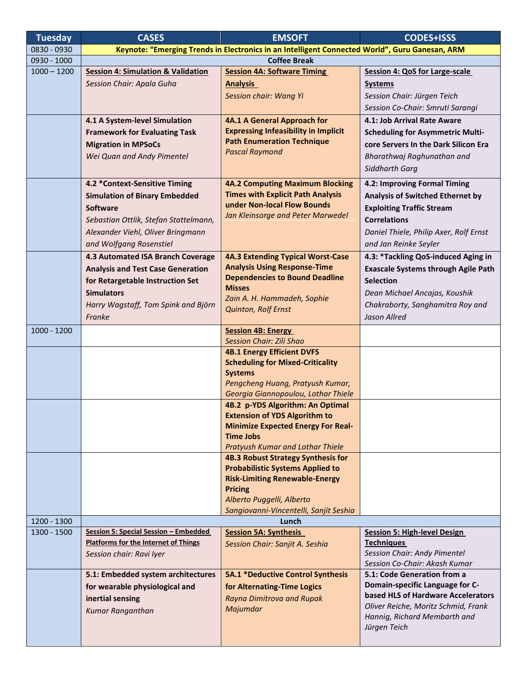| <b>Tuesday</b> | <b>CASES</b>                                  | <b>EMSOFT</b>                                                                                  | <b>CODES+ISSS</b>                                             |
|----------------|-----------------------------------------------|------------------------------------------------------------------------------------------------|---------------------------------------------------------------|
| 0830 - 0930    |                                               | Keynote: "Emerging Trends in Electronics in an Intelligent Connected World", Guru Ganesan, ARM |                                                               |
| 0930 - 1000    |                                               | <b>Coffee Break</b>                                                                            |                                                               |
| $1000 - 1200$  | <b>Session 4: Simulation &amp; Validation</b> | <b>Session 4A: Software Timing</b>                                                             | Session 4: QoS for Large-scale                                |
|                | Session Chair: Apala Guha                     | <b>Analysis</b>                                                                                | <b>Systems</b>                                                |
|                |                                               | Session chair: Wang Yi                                                                         | Session Chair: Jürgen Teich                                   |
|                |                                               |                                                                                                | Session Co-Chair: Smruti Sarangi                              |
|                | 4.1 A System-level Simulation                 | 4A.1 A General Approach for                                                                    | 4.1: Job Arrival Rate Aware                                   |
|                | <b>Framework for Evaluating Task</b>          | <b>Expressing Infeasibility in Implicit</b>                                                    | <b>Scheduling for Asymmetric Multi-</b>                       |
|                | <b>Migration in MPSoCs</b>                    | <b>Path Enumeration Technique</b>                                                              | core Servers In the Dark Silicon Era                          |
|                | Wei Quan and Andy Pimentel                    | <b>Pascal Raymond</b>                                                                          | Bharathwaj Raghunathan and                                    |
|                |                                               |                                                                                                | Siddharth Garg                                                |
|                | 4.2 *Context-Sensitive Timing                 | <b>4A.2 Computing Maximum Blocking</b>                                                         | 4.2: Improving Formal Timing                                  |
|                | <b>Simulation of Binary Embedded</b>          | <b>Times with Explicit Path Analysis</b>                                                       | Analysis of Switched Ethernet by                              |
|                | <b>Software</b>                               | under Non-local Flow Bounds                                                                    | <b>Exploiting Traffic Stream</b>                              |
|                | Sebastian Ottlik, Stefan Stattelmann,         | Jan Kleinsorge and Peter Marwedel                                                              | <b>Correlations</b>                                           |
|                | Alexander Viehl, Oliver Bringmann             |                                                                                                | Daniel Thiele, Philip Axer, Rolf Ernst                        |
|                | and Wolfgang Rosenstiel                       |                                                                                                | and Jan Reinke Seyler                                         |
|                | 4.3 Automated ISA Branch Coverage             | <b>4A.3 Extending Typical Worst-Case</b>                                                       | 4.3: *Tackling QoS-induced Aging in                           |
|                | <b>Analysis and Test Case Generation</b>      | <b>Analysis Using Response-Time</b>                                                            | <b>Exascale Systems through Agile Path</b>                    |
|                | for Retargetable Instruction Set              | <b>Dependencies to Bound Deadline</b>                                                          | <b>Selection</b>                                              |
|                | <b>Simulators</b>                             | <b>Misses</b>                                                                                  | Dean Michael Ancajas, Koushik                                 |
|                | Harry Wagstaff, Tom Spink and Björn           | Zain A. H. Hammadeh, Sophie                                                                    | Chakraborty, Sanghamitra Roy and                              |
|                | Franke                                        | <b>Quinton, Rolf Ernst</b>                                                                     | Jason Allred                                                  |
| $1000 - 1200$  |                                               | <b>Session 4B: Energy</b>                                                                      |                                                               |
|                |                                               | Session Chair: Zili Shao                                                                       |                                                               |
|                |                                               | <b>4B.1 Energy Efficient DVFS</b>                                                              |                                                               |
|                |                                               | <b>Scheduling for Mixed-Criticality</b>                                                        |                                                               |
|                |                                               | <b>Systems</b>                                                                                 |                                                               |
|                |                                               | Pengcheng Huang, Pratyush Kumar,<br>Georgia Giannopoulou, Lothar Thiele                        |                                                               |
|                |                                               | 4B.2 p-YDS Algorithm: An Optimal                                                               |                                                               |
|                |                                               | <b>Extension of YDS Algorithm to</b>                                                           |                                                               |
|                |                                               | <b>Minimize Expected Energy For Real-</b>                                                      |                                                               |
|                |                                               | <b>Time Jobs</b>                                                                               |                                                               |
|                |                                               | <b>Pratyush Kumar and Lothar Thiele</b>                                                        |                                                               |
|                |                                               | 4B.3 Robust Strategy Synthesis for                                                             |                                                               |
|                |                                               | <b>Probabilistic Systems Applied to</b><br><b>Risk-Limiting Renewable-Energy</b>               |                                                               |
|                |                                               | <b>Pricing</b>                                                                                 |                                                               |
|                |                                               | Alberto Puggelli, Alberto                                                                      |                                                               |
|                |                                               | Sangiovanni-Vincentelli, Sanjit Seshia                                                         |                                                               |
| 1200 - 1300    | Lunch                                         |                                                                                                |                                                               |
| 1300 - 1500    | Session 5: Special Session - Embedded         | <b>Session 5A: Synthesis</b>                                                                   | <b>Session 5: High-level Design</b>                           |
|                | <b>Platforms for the Internet of Things</b>   | Session Chair: Sanjit A. Seshia                                                                | <b>Techniques</b>                                             |
|                | Session chair: Ravi Iyer                      |                                                                                                | Session Chair: Andy Pimentel<br>Session Co-Chair: Akash Kumar |
|                | 5.1: Embedded system architectures            | <b>5A.1 *Deductive Control Synthesis</b>                                                       | 5.1: Code Generation from a                                   |
|                | for wearable physiological and                | for Alternating-Time Logics                                                                    | Domain-specific Language for C-                               |
|                | inertial sensing                              | Rayna Dimitrova and Rupak                                                                      | based HLS of Hardware Accelerators                            |
|                | <b>Kumar Ranganthan</b>                       | Majumdar                                                                                       | Oliver Reiche, Moritz Schmid, Frank                           |
|                |                                               |                                                                                                | Hannig, Richard Membarth and                                  |
|                |                                               |                                                                                                | Jürgen Teich                                                  |
|                |                                               |                                                                                                |                                                               |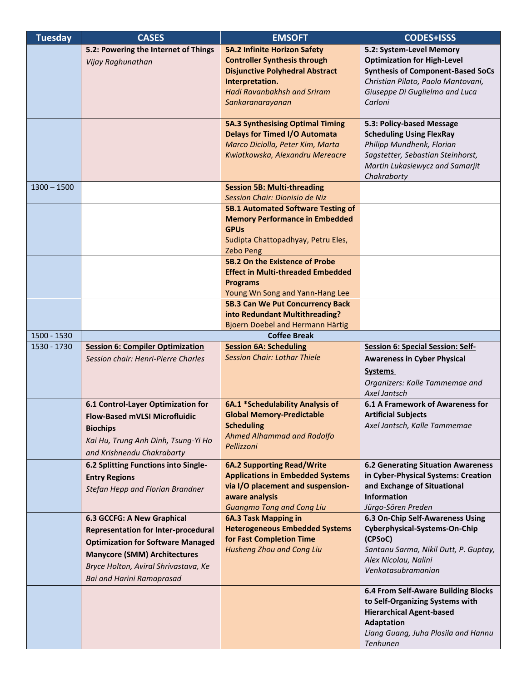| 5.2: Powering the Internet of Things<br><b>5A.2 Infinite Horizon Safety</b><br>5.2: System-Level Memory<br><b>Optimization for High-Level</b><br><b>Controller Synthesis through</b><br>Vijay Raghunathan<br><b>Synthesis of Component-Based SoCs</b><br><b>Disjunctive Polyhedral Abstract</b><br>Christian Pilato, Paolo Mantovani,<br>Interpretation.<br><b>Hadi Ravanbakhsh and Sriram</b><br>Giuseppe Di Guglielmo and Luca<br>Sankaranarayanan<br>Carloni<br><b>5A.3 Synthesising Optimal Timing</b><br>5.3: Policy-based Message<br><b>Delays for Timed I/O Automata</b><br><b>Scheduling Using FlexRay</b><br>Marco Diciolla, Peter Kim, Marta<br>Philipp Mundhenk, Florian<br>Kwiatkowska, Alexandru Mereacre<br>Sagstetter, Sebastian Steinhorst,<br>Martin Lukasiewycz and Samarjit<br>Chakraborty<br>$1300 - 1500$<br><b>Session 5B: Multi-threading</b><br>Session Chair: Dionisio de Niz<br><b>5B.1 Automated Software Testing of</b><br><b>Memory Performance in Embedded</b><br><b>GPUs</b><br>Sudipta Chattopadhyay, Petru Eles,<br>Zebo Peng<br><b>5B.2 On the Existence of Probe</b><br><b>Effect in Multi-threaded Embedded</b><br><b>Programs</b><br>Young Wn Song and Yann-Hang Lee<br>5B.3 Can We Put Concurrency Back<br>into Redundant Multithreading?<br>Bjoern Doebel and Hermann Härtig<br>1500 - 1530<br><b>Coffee Break</b><br>1530 - 1730<br><b>Session 6: Compiler Optimization</b><br><b>Session 6A: Scheduling</b><br><b>Session 6: Special Session: Self-</b><br><b>Session Chair: Lothar Thiele</b><br>Session chair: Henri-Pierre Charles<br><b>Awareness in Cyber Physical</b><br><b>Systems</b><br>Organizers: Kalle Tammemae and<br>Axel Jantsch<br>6A.1 *Schedulability Analysis of<br>6.1 A Framework of Awareness for<br>6.1 Control-Layer Optimization for<br><b>Global Memory-Predictable</b><br><b>Artificial Subjects</b><br>Flow-Based mVLSI Microfluidic<br>Axel Jantsch, Kalle Tammemae<br><b>Scheduling</b><br><b>Biochips</b><br>Ahmed Alhammad and Rodolfo<br>Kai Hu, Trung Anh Dinh, Tsung-Yi Ho<br>Pellizzoni<br>and Krishnendu Chakrabarty<br>6.2 Splitting Functions into Single-<br><b>6A.2 Supporting Read/Write</b><br><b>6.2 Generating Situation Awareness</b><br><b>Applications in Embedded Systems</b><br>in Cyber-Physical Systems: Creation<br><b>Entry Regions</b><br>via I/O placement and suspension-<br>and Exchange of Situational<br>Stefan Hepp and Florian Brandner<br>aware analysis<br><b>Information</b><br><b>Guangmo Tong and Cong Liu</b><br>Jürgo-Sören Preden<br>6.3 On-Chip Self-Awareness Using<br>6.3 GCCFG: A New Graphical<br><b>6A.3 Task Mapping in</b><br><b>Heterogeneous Embedded Systems</b><br>Cyberphysical-Systems-On-Chip<br><b>Representation for Inter-procedural</b><br>for Fast Completion Time<br>(CPSoC)<br><b>Optimization for Software Managed</b><br><b>Husheng Zhou and Cong Liu</b><br>Santanu Sarma, Nikil Dutt, P. Guptay,<br><b>Manycore (SMM) Architectures</b><br>Alex Nicolau, Nalini<br>Bryce Holton, Aviral Shrivastava, Ke<br>Venkatasubramanian<br><b>Bai and Harini Ramaprasad</b><br><b>6.4 From Self-Aware Building Blocks</b><br>to Self-Organizing Systems with<br><b>Hierarchical Agent-based</b><br><b>Adaptation</b><br>Liang Guang, Juha Plosila and Hannu<br>Tenhunen | <b>Tuesday</b> | <b>CASES</b> | <b>EMSOFT</b> | <b>CODES+ISSS</b> |
|--------------------------------------------------------------------------------------------------------------------------------------------------------------------------------------------------------------------------------------------------------------------------------------------------------------------------------------------------------------------------------------------------------------------------------------------------------------------------------------------------------------------------------------------------------------------------------------------------------------------------------------------------------------------------------------------------------------------------------------------------------------------------------------------------------------------------------------------------------------------------------------------------------------------------------------------------------------------------------------------------------------------------------------------------------------------------------------------------------------------------------------------------------------------------------------------------------------------------------------------------------------------------------------------------------------------------------------------------------------------------------------------------------------------------------------------------------------------------------------------------------------------------------------------------------------------------------------------------------------------------------------------------------------------------------------------------------------------------------------------------------------------------------------------------------------------------------------------------------------------------------------------------------------------------------------------------------------------------------------------------------------------------------------------------------------------------------------------------------------------------------------------------------------------------------------------------------------------------------------------------------------------------------------------------------------------------------------------------------------------------------------------------------------------------------------------------------------------------------------------------------------------------------------------------------------------------------------------------------------------------------------------------------------------------------------------------------------------------------------------------------------------------------------------------------------------------------------------------------------------------------------------------------------------------------------------------------------------------------------------------------------------------------------------------------------------------------------------------------------------------------------------------------------------------------------------------------------------------------------------------------------------------------------------------------|----------------|--------------|---------------|-------------------|
|                                                                                                                                                                                                                                                                                                                                                                                                                                                                                                                                                                                                                                                                                                                                                                                                                                                                                                                                                                                                                                                                                                                                                                                                                                                                                                                                                                                                                                                                                                                                                                                                                                                                                                                                                                                                                                                                                                                                                                                                                                                                                                                                                                                                                                                                                                                                                                                                                                                                                                                                                                                                                                                                                                                                                                                                                                                                                                                                                                                                                                                                                                                                                                                                                                                                                                        |                |              |               |                   |
|                                                                                                                                                                                                                                                                                                                                                                                                                                                                                                                                                                                                                                                                                                                                                                                                                                                                                                                                                                                                                                                                                                                                                                                                                                                                                                                                                                                                                                                                                                                                                                                                                                                                                                                                                                                                                                                                                                                                                                                                                                                                                                                                                                                                                                                                                                                                                                                                                                                                                                                                                                                                                                                                                                                                                                                                                                                                                                                                                                                                                                                                                                                                                                                                                                                                                                        |                |              |               |                   |
|                                                                                                                                                                                                                                                                                                                                                                                                                                                                                                                                                                                                                                                                                                                                                                                                                                                                                                                                                                                                                                                                                                                                                                                                                                                                                                                                                                                                                                                                                                                                                                                                                                                                                                                                                                                                                                                                                                                                                                                                                                                                                                                                                                                                                                                                                                                                                                                                                                                                                                                                                                                                                                                                                                                                                                                                                                                                                                                                                                                                                                                                                                                                                                                                                                                                                                        |                |              |               |                   |
|                                                                                                                                                                                                                                                                                                                                                                                                                                                                                                                                                                                                                                                                                                                                                                                                                                                                                                                                                                                                                                                                                                                                                                                                                                                                                                                                                                                                                                                                                                                                                                                                                                                                                                                                                                                                                                                                                                                                                                                                                                                                                                                                                                                                                                                                                                                                                                                                                                                                                                                                                                                                                                                                                                                                                                                                                                                                                                                                                                                                                                                                                                                                                                                                                                                                                                        |                |              |               |                   |
|                                                                                                                                                                                                                                                                                                                                                                                                                                                                                                                                                                                                                                                                                                                                                                                                                                                                                                                                                                                                                                                                                                                                                                                                                                                                                                                                                                                                                                                                                                                                                                                                                                                                                                                                                                                                                                                                                                                                                                                                                                                                                                                                                                                                                                                                                                                                                                                                                                                                                                                                                                                                                                                                                                                                                                                                                                                                                                                                                                                                                                                                                                                                                                                                                                                                                                        |                |              |               |                   |
|                                                                                                                                                                                                                                                                                                                                                                                                                                                                                                                                                                                                                                                                                                                                                                                                                                                                                                                                                                                                                                                                                                                                                                                                                                                                                                                                                                                                                                                                                                                                                                                                                                                                                                                                                                                                                                                                                                                                                                                                                                                                                                                                                                                                                                                                                                                                                                                                                                                                                                                                                                                                                                                                                                                                                                                                                                                                                                                                                                                                                                                                                                                                                                                                                                                                                                        |                |              |               |                   |
|                                                                                                                                                                                                                                                                                                                                                                                                                                                                                                                                                                                                                                                                                                                                                                                                                                                                                                                                                                                                                                                                                                                                                                                                                                                                                                                                                                                                                                                                                                                                                                                                                                                                                                                                                                                                                                                                                                                                                                                                                                                                                                                                                                                                                                                                                                                                                                                                                                                                                                                                                                                                                                                                                                                                                                                                                                                                                                                                                                                                                                                                                                                                                                                                                                                                                                        |                |              |               |                   |
|                                                                                                                                                                                                                                                                                                                                                                                                                                                                                                                                                                                                                                                                                                                                                                                                                                                                                                                                                                                                                                                                                                                                                                                                                                                                                                                                                                                                                                                                                                                                                                                                                                                                                                                                                                                                                                                                                                                                                                                                                                                                                                                                                                                                                                                                                                                                                                                                                                                                                                                                                                                                                                                                                                                                                                                                                                                                                                                                                                                                                                                                                                                                                                                                                                                                                                        |                |              |               |                   |
|                                                                                                                                                                                                                                                                                                                                                                                                                                                                                                                                                                                                                                                                                                                                                                                                                                                                                                                                                                                                                                                                                                                                                                                                                                                                                                                                                                                                                                                                                                                                                                                                                                                                                                                                                                                                                                                                                                                                                                                                                                                                                                                                                                                                                                                                                                                                                                                                                                                                                                                                                                                                                                                                                                                                                                                                                                                                                                                                                                                                                                                                                                                                                                                                                                                                                                        |                |              |               |                   |
|                                                                                                                                                                                                                                                                                                                                                                                                                                                                                                                                                                                                                                                                                                                                                                                                                                                                                                                                                                                                                                                                                                                                                                                                                                                                                                                                                                                                                                                                                                                                                                                                                                                                                                                                                                                                                                                                                                                                                                                                                                                                                                                                                                                                                                                                                                                                                                                                                                                                                                                                                                                                                                                                                                                                                                                                                                                                                                                                                                                                                                                                                                                                                                                                                                                                                                        |                |              |               |                   |
|                                                                                                                                                                                                                                                                                                                                                                                                                                                                                                                                                                                                                                                                                                                                                                                                                                                                                                                                                                                                                                                                                                                                                                                                                                                                                                                                                                                                                                                                                                                                                                                                                                                                                                                                                                                                                                                                                                                                                                                                                                                                                                                                                                                                                                                                                                                                                                                                                                                                                                                                                                                                                                                                                                                                                                                                                                                                                                                                                                                                                                                                                                                                                                                                                                                                                                        |                |              |               |                   |
|                                                                                                                                                                                                                                                                                                                                                                                                                                                                                                                                                                                                                                                                                                                                                                                                                                                                                                                                                                                                                                                                                                                                                                                                                                                                                                                                                                                                                                                                                                                                                                                                                                                                                                                                                                                                                                                                                                                                                                                                                                                                                                                                                                                                                                                                                                                                                                                                                                                                                                                                                                                                                                                                                                                                                                                                                                                                                                                                                                                                                                                                                                                                                                                                                                                                                                        |                |              |               |                   |
|                                                                                                                                                                                                                                                                                                                                                                                                                                                                                                                                                                                                                                                                                                                                                                                                                                                                                                                                                                                                                                                                                                                                                                                                                                                                                                                                                                                                                                                                                                                                                                                                                                                                                                                                                                                                                                                                                                                                                                                                                                                                                                                                                                                                                                                                                                                                                                                                                                                                                                                                                                                                                                                                                                                                                                                                                                                                                                                                                                                                                                                                                                                                                                                                                                                                                                        |                |              |               |                   |
|                                                                                                                                                                                                                                                                                                                                                                                                                                                                                                                                                                                                                                                                                                                                                                                                                                                                                                                                                                                                                                                                                                                                                                                                                                                                                                                                                                                                                                                                                                                                                                                                                                                                                                                                                                                                                                                                                                                                                                                                                                                                                                                                                                                                                                                                                                                                                                                                                                                                                                                                                                                                                                                                                                                                                                                                                                                                                                                                                                                                                                                                                                                                                                                                                                                                                                        |                |              |               |                   |
|                                                                                                                                                                                                                                                                                                                                                                                                                                                                                                                                                                                                                                                                                                                                                                                                                                                                                                                                                                                                                                                                                                                                                                                                                                                                                                                                                                                                                                                                                                                                                                                                                                                                                                                                                                                                                                                                                                                                                                                                                                                                                                                                                                                                                                                                                                                                                                                                                                                                                                                                                                                                                                                                                                                                                                                                                                                                                                                                                                                                                                                                                                                                                                                                                                                                                                        |                |              |               |                   |
|                                                                                                                                                                                                                                                                                                                                                                                                                                                                                                                                                                                                                                                                                                                                                                                                                                                                                                                                                                                                                                                                                                                                                                                                                                                                                                                                                                                                                                                                                                                                                                                                                                                                                                                                                                                                                                                                                                                                                                                                                                                                                                                                                                                                                                                                                                                                                                                                                                                                                                                                                                                                                                                                                                                                                                                                                                                                                                                                                                                                                                                                                                                                                                                                                                                                                                        |                |              |               |                   |
|                                                                                                                                                                                                                                                                                                                                                                                                                                                                                                                                                                                                                                                                                                                                                                                                                                                                                                                                                                                                                                                                                                                                                                                                                                                                                                                                                                                                                                                                                                                                                                                                                                                                                                                                                                                                                                                                                                                                                                                                                                                                                                                                                                                                                                                                                                                                                                                                                                                                                                                                                                                                                                                                                                                                                                                                                                                                                                                                                                                                                                                                                                                                                                                                                                                                                                        |                |              |               |                   |
|                                                                                                                                                                                                                                                                                                                                                                                                                                                                                                                                                                                                                                                                                                                                                                                                                                                                                                                                                                                                                                                                                                                                                                                                                                                                                                                                                                                                                                                                                                                                                                                                                                                                                                                                                                                                                                                                                                                                                                                                                                                                                                                                                                                                                                                                                                                                                                                                                                                                                                                                                                                                                                                                                                                                                                                                                                                                                                                                                                                                                                                                                                                                                                                                                                                                                                        |                |              |               |                   |
|                                                                                                                                                                                                                                                                                                                                                                                                                                                                                                                                                                                                                                                                                                                                                                                                                                                                                                                                                                                                                                                                                                                                                                                                                                                                                                                                                                                                                                                                                                                                                                                                                                                                                                                                                                                                                                                                                                                                                                                                                                                                                                                                                                                                                                                                                                                                                                                                                                                                                                                                                                                                                                                                                                                                                                                                                                                                                                                                                                                                                                                                                                                                                                                                                                                                                                        |                |              |               |                   |
|                                                                                                                                                                                                                                                                                                                                                                                                                                                                                                                                                                                                                                                                                                                                                                                                                                                                                                                                                                                                                                                                                                                                                                                                                                                                                                                                                                                                                                                                                                                                                                                                                                                                                                                                                                                                                                                                                                                                                                                                                                                                                                                                                                                                                                                                                                                                                                                                                                                                                                                                                                                                                                                                                                                                                                                                                                                                                                                                                                                                                                                                                                                                                                                                                                                                                                        |                |              |               |                   |
|                                                                                                                                                                                                                                                                                                                                                                                                                                                                                                                                                                                                                                                                                                                                                                                                                                                                                                                                                                                                                                                                                                                                                                                                                                                                                                                                                                                                                                                                                                                                                                                                                                                                                                                                                                                                                                                                                                                                                                                                                                                                                                                                                                                                                                                                                                                                                                                                                                                                                                                                                                                                                                                                                                                                                                                                                                                                                                                                                                                                                                                                                                                                                                                                                                                                                                        |                |              |               |                   |
|                                                                                                                                                                                                                                                                                                                                                                                                                                                                                                                                                                                                                                                                                                                                                                                                                                                                                                                                                                                                                                                                                                                                                                                                                                                                                                                                                                                                                                                                                                                                                                                                                                                                                                                                                                                                                                                                                                                                                                                                                                                                                                                                                                                                                                                                                                                                                                                                                                                                                                                                                                                                                                                                                                                                                                                                                                                                                                                                                                                                                                                                                                                                                                                                                                                                                                        |                |              |               |                   |
|                                                                                                                                                                                                                                                                                                                                                                                                                                                                                                                                                                                                                                                                                                                                                                                                                                                                                                                                                                                                                                                                                                                                                                                                                                                                                                                                                                                                                                                                                                                                                                                                                                                                                                                                                                                                                                                                                                                                                                                                                                                                                                                                                                                                                                                                                                                                                                                                                                                                                                                                                                                                                                                                                                                                                                                                                                                                                                                                                                                                                                                                                                                                                                                                                                                                                                        |                |              |               |                   |
|                                                                                                                                                                                                                                                                                                                                                                                                                                                                                                                                                                                                                                                                                                                                                                                                                                                                                                                                                                                                                                                                                                                                                                                                                                                                                                                                                                                                                                                                                                                                                                                                                                                                                                                                                                                                                                                                                                                                                                                                                                                                                                                                                                                                                                                                                                                                                                                                                                                                                                                                                                                                                                                                                                                                                                                                                                                                                                                                                                                                                                                                                                                                                                                                                                                                                                        |                |              |               |                   |
|                                                                                                                                                                                                                                                                                                                                                                                                                                                                                                                                                                                                                                                                                                                                                                                                                                                                                                                                                                                                                                                                                                                                                                                                                                                                                                                                                                                                                                                                                                                                                                                                                                                                                                                                                                                                                                                                                                                                                                                                                                                                                                                                                                                                                                                                                                                                                                                                                                                                                                                                                                                                                                                                                                                                                                                                                                                                                                                                                                                                                                                                                                                                                                                                                                                                                                        |                |              |               |                   |
|                                                                                                                                                                                                                                                                                                                                                                                                                                                                                                                                                                                                                                                                                                                                                                                                                                                                                                                                                                                                                                                                                                                                                                                                                                                                                                                                                                                                                                                                                                                                                                                                                                                                                                                                                                                                                                                                                                                                                                                                                                                                                                                                                                                                                                                                                                                                                                                                                                                                                                                                                                                                                                                                                                                                                                                                                                                                                                                                                                                                                                                                                                                                                                                                                                                                                                        |                |              |               |                   |
|                                                                                                                                                                                                                                                                                                                                                                                                                                                                                                                                                                                                                                                                                                                                                                                                                                                                                                                                                                                                                                                                                                                                                                                                                                                                                                                                                                                                                                                                                                                                                                                                                                                                                                                                                                                                                                                                                                                                                                                                                                                                                                                                                                                                                                                                                                                                                                                                                                                                                                                                                                                                                                                                                                                                                                                                                                                                                                                                                                                                                                                                                                                                                                                                                                                                                                        |                |              |               |                   |
|                                                                                                                                                                                                                                                                                                                                                                                                                                                                                                                                                                                                                                                                                                                                                                                                                                                                                                                                                                                                                                                                                                                                                                                                                                                                                                                                                                                                                                                                                                                                                                                                                                                                                                                                                                                                                                                                                                                                                                                                                                                                                                                                                                                                                                                                                                                                                                                                                                                                                                                                                                                                                                                                                                                                                                                                                                                                                                                                                                                                                                                                                                                                                                                                                                                                                                        |                |              |               |                   |
|                                                                                                                                                                                                                                                                                                                                                                                                                                                                                                                                                                                                                                                                                                                                                                                                                                                                                                                                                                                                                                                                                                                                                                                                                                                                                                                                                                                                                                                                                                                                                                                                                                                                                                                                                                                                                                                                                                                                                                                                                                                                                                                                                                                                                                                                                                                                                                                                                                                                                                                                                                                                                                                                                                                                                                                                                                                                                                                                                                                                                                                                                                                                                                                                                                                                                                        |                |              |               |                   |
|                                                                                                                                                                                                                                                                                                                                                                                                                                                                                                                                                                                                                                                                                                                                                                                                                                                                                                                                                                                                                                                                                                                                                                                                                                                                                                                                                                                                                                                                                                                                                                                                                                                                                                                                                                                                                                                                                                                                                                                                                                                                                                                                                                                                                                                                                                                                                                                                                                                                                                                                                                                                                                                                                                                                                                                                                                                                                                                                                                                                                                                                                                                                                                                                                                                                                                        |                |              |               |                   |
|                                                                                                                                                                                                                                                                                                                                                                                                                                                                                                                                                                                                                                                                                                                                                                                                                                                                                                                                                                                                                                                                                                                                                                                                                                                                                                                                                                                                                                                                                                                                                                                                                                                                                                                                                                                                                                                                                                                                                                                                                                                                                                                                                                                                                                                                                                                                                                                                                                                                                                                                                                                                                                                                                                                                                                                                                                                                                                                                                                                                                                                                                                                                                                                                                                                                                                        |                |              |               |                   |
|                                                                                                                                                                                                                                                                                                                                                                                                                                                                                                                                                                                                                                                                                                                                                                                                                                                                                                                                                                                                                                                                                                                                                                                                                                                                                                                                                                                                                                                                                                                                                                                                                                                                                                                                                                                                                                                                                                                                                                                                                                                                                                                                                                                                                                                                                                                                                                                                                                                                                                                                                                                                                                                                                                                                                                                                                                                                                                                                                                                                                                                                                                                                                                                                                                                                                                        |                |              |               |                   |
|                                                                                                                                                                                                                                                                                                                                                                                                                                                                                                                                                                                                                                                                                                                                                                                                                                                                                                                                                                                                                                                                                                                                                                                                                                                                                                                                                                                                                                                                                                                                                                                                                                                                                                                                                                                                                                                                                                                                                                                                                                                                                                                                                                                                                                                                                                                                                                                                                                                                                                                                                                                                                                                                                                                                                                                                                                                                                                                                                                                                                                                                                                                                                                                                                                                                                                        |                |              |               |                   |
|                                                                                                                                                                                                                                                                                                                                                                                                                                                                                                                                                                                                                                                                                                                                                                                                                                                                                                                                                                                                                                                                                                                                                                                                                                                                                                                                                                                                                                                                                                                                                                                                                                                                                                                                                                                                                                                                                                                                                                                                                                                                                                                                                                                                                                                                                                                                                                                                                                                                                                                                                                                                                                                                                                                                                                                                                                                                                                                                                                                                                                                                                                                                                                                                                                                                                                        |                |              |               |                   |
|                                                                                                                                                                                                                                                                                                                                                                                                                                                                                                                                                                                                                                                                                                                                                                                                                                                                                                                                                                                                                                                                                                                                                                                                                                                                                                                                                                                                                                                                                                                                                                                                                                                                                                                                                                                                                                                                                                                                                                                                                                                                                                                                                                                                                                                                                                                                                                                                                                                                                                                                                                                                                                                                                                                                                                                                                                                                                                                                                                                                                                                                                                                                                                                                                                                                                                        |                |              |               |                   |
|                                                                                                                                                                                                                                                                                                                                                                                                                                                                                                                                                                                                                                                                                                                                                                                                                                                                                                                                                                                                                                                                                                                                                                                                                                                                                                                                                                                                                                                                                                                                                                                                                                                                                                                                                                                                                                                                                                                                                                                                                                                                                                                                                                                                                                                                                                                                                                                                                                                                                                                                                                                                                                                                                                                                                                                                                                                                                                                                                                                                                                                                                                                                                                                                                                                                                                        |                |              |               |                   |
|                                                                                                                                                                                                                                                                                                                                                                                                                                                                                                                                                                                                                                                                                                                                                                                                                                                                                                                                                                                                                                                                                                                                                                                                                                                                                                                                                                                                                                                                                                                                                                                                                                                                                                                                                                                                                                                                                                                                                                                                                                                                                                                                                                                                                                                                                                                                                                                                                                                                                                                                                                                                                                                                                                                                                                                                                                                                                                                                                                                                                                                                                                                                                                                                                                                                                                        |                |              |               |                   |
|                                                                                                                                                                                                                                                                                                                                                                                                                                                                                                                                                                                                                                                                                                                                                                                                                                                                                                                                                                                                                                                                                                                                                                                                                                                                                                                                                                                                                                                                                                                                                                                                                                                                                                                                                                                                                                                                                                                                                                                                                                                                                                                                                                                                                                                                                                                                                                                                                                                                                                                                                                                                                                                                                                                                                                                                                                                                                                                                                                                                                                                                                                                                                                                                                                                                                                        |                |              |               |                   |
|                                                                                                                                                                                                                                                                                                                                                                                                                                                                                                                                                                                                                                                                                                                                                                                                                                                                                                                                                                                                                                                                                                                                                                                                                                                                                                                                                                                                                                                                                                                                                                                                                                                                                                                                                                                                                                                                                                                                                                                                                                                                                                                                                                                                                                                                                                                                                                                                                                                                                                                                                                                                                                                                                                                                                                                                                                                                                                                                                                                                                                                                                                                                                                                                                                                                                                        |                |              |               |                   |
|                                                                                                                                                                                                                                                                                                                                                                                                                                                                                                                                                                                                                                                                                                                                                                                                                                                                                                                                                                                                                                                                                                                                                                                                                                                                                                                                                                                                                                                                                                                                                                                                                                                                                                                                                                                                                                                                                                                                                                                                                                                                                                                                                                                                                                                                                                                                                                                                                                                                                                                                                                                                                                                                                                                                                                                                                                                                                                                                                                                                                                                                                                                                                                                                                                                                                                        |                |              |               |                   |
|                                                                                                                                                                                                                                                                                                                                                                                                                                                                                                                                                                                                                                                                                                                                                                                                                                                                                                                                                                                                                                                                                                                                                                                                                                                                                                                                                                                                                                                                                                                                                                                                                                                                                                                                                                                                                                                                                                                                                                                                                                                                                                                                                                                                                                                                                                                                                                                                                                                                                                                                                                                                                                                                                                                                                                                                                                                                                                                                                                                                                                                                                                                                                                                                                                                                                                        |                |              |               |                   |
|                                                                                                                                                                                                                                                                                                                                                                                                                                                                                                                                                                                                                                                                                                                                                                                                                                                                                                                                                                                                                                                                                                                                                                                                                                                                                                                                                                                                                                                                                                                                                                                                                                                                                                                                                                                                                                                                                                                                                                                                                                                                                                                                                                                                                                                                                                                                                                                                                                                                                                                                                                                                                                                                                                                                                                                                                                                                                                                                                                                                                                                                                                                                                                                                                                                                                                        |                |              |               |                   |
|                                                                                                                                                                                                                                                                                                                                                                                                                                                                                                                                                                                                                                                                                                                                                                                                                                                                                                                                                                                                                                                                                                                                                                                                                                                                                                                                                                                                                                                                                                                                                                                                                                                                                                                                                                                                                                                                                                                                                                                                                                                                                                                                                                                                                                                                                                                                                                                                                                                                                                                                                                                                                                                                                                                                                                                                                                                                                                                                                                                                                                                                                                                                                                                                                                                                                                        |                |              |               |                   |
|                                                                                                                                                                                                                                                                                                                                                                                                                                                                                                                                                                                                                                                                                                                                                                                                                                                                                                                                                                                                                                                                                                                                                                                                                                                                                                                                                                                                                                                                                                                                                                                                                                                                                                                                                                                                                                                                                                                                                                                                                                                                                                                                                                                                                                                                                                                                                                                                                                                                                                                                                                                                                                                                                                                                                                                                                                                                                                                                                                                                                                                                                                                                                                                                                                                                                                        |                |              |               |                   |
|                                                                                                                                                                                                                                                                                                                                                                                                                                                                                                                                                                                                                                                                                                                                                                                                                                                                                                                                                                                                                                                                                                                                                                                                                                                                                                                                                                                                                                                                                                                                                                                                                                                                                                                                                                                                                                                                                                                                                                                                                                                                                                                                                                                                                                                                                                                                                                                                                                                                                                                                                                                                                                                                                                                                                                                                                                                                                                                                                                                                                                                                                                                                                                                                                                                                                                        |                |              |               |                   |
|                                                                                                                                                                                                                                                                                                                                                                                                                                                                                                                                                                                                                                                                                                                                                                                                                                                                                                                                                                                                                                                                                                                                                                                                                                                                                                                                                                                                                                                                                                                                                                                                                                                                                                                                                                                                                                                                                                                                                                                                                                                                                                                                                                                                                                                                                                                                                                                                                                                                                                                                                                                                                                                                                                                                                                                                                                                                                                                                                                                                                                                                                                                                                                                                                                                                                                        |                |              |               |                   |
|                                                                                                                                                                                                                                                                                                                                                                                                                                                                                                                                                                                                                                                                                                                                                                                                                                                                                                                                                                                                                                                                                                                                                                                                                                                                                                                                                                                                                                                                                                                                                                                                                                                                                                                                                                                                                                                                                                                                                                                                                                                                                                                                                                                                                                                                                                                                                                                                                                                                                                                                                                                                                                                                                                                                                                                                                                                                                                                                                                                                                                                                                                                                                                                                                                                                                                        |                |              |               |                   |
|                                                                                                                                                                                                                                                                                                                                                                                                                                                                                                                                                                                                                                                                                                                                                                                                                                                                                                                                                                                                                                                                                                                                                                                                                                                                                                                                                                                                                                                                                                                                                                                                                                                                                                                                                                                                                                                                                                                                                                                                                                                                                                                                                                                                                                                                                                                                                                                                                                                                                                                                                                                                                                                                                                                                                                                                                                                                                                                                                                                                                                                                                                                                                                                                                                                                                                        |                |              |               |                   |
|                                                                                                                                                                                                                                                                                                                                                                                                                                                                                                                                                                                                                                                                                                                                                                                                                                                                                                                                                                                                                                                                                                                                                                                                                                                                                                                                                                                                                                                                                                                                                                                                                                                                                                                                                                                                                                                                                                                                                                                                                                                                                                                                                                                                                                                                                                                                                                                                                                                                                                                                                                                                                                                                                                                                                                                                                                                                                                                                                                                                                                                                                                                                                                                                                                                                                                        |                |              |               |                   |
|                                                                                                                                                                                                                                                                                                                                                                                                                                                                                                                                                                                                                                                                                                                                                                                                                                                                                                                                                                                                                                                                                                                                                                                                                                                                                                                                                                                                                                                                                                                                                                                                                                                                                                                                                                                                                                                                                                                                                                                                                                                                                                                                                                                                                                                                                                                                                                                                                                                                                                                                                                                                                                                                                                                                                                                                                                                                                                                                                                                                                                                                                                                                                                                                                                                                                                        |                |              |               |                   |
|                                                                                                                                                                                                                                                                                                                                                                                                                                                                                                                                                                                                                                                                                                                                                                                                                                                                                                                                                                                                                                                                                                                                                                                                                                                                                                                                                                                                                                                                                                                                                                                                                                                                                                                                                                                                                                                                                                                                                                                                                                                                                                                                                                                                                                                                                                                                                                                                                                                                                                                                                                                                                                                                                                                                                                                                                                                                                                                                                                                                                                                                                                                                                                                                                                                                                                        |                |              |               |                   |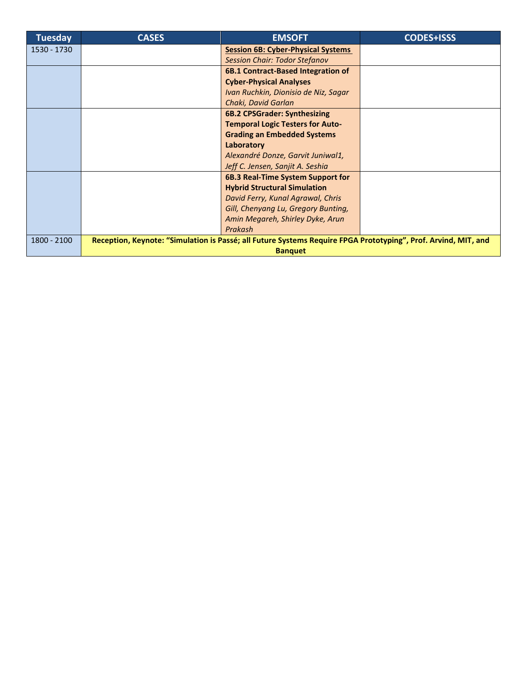| <b>Tuesday</b> | <b>CASES</b> | <b>EMSOFT</b>                                                                                                  | <b>CODES+ISSS</b> |
|----------------|--------------|----------------------------------------------------------------------------------------------------------------|-------------------|
| 1530 - 1730    |              | <b>Session 6B: Cyber-Physical Systems</b>                                                                      |                   |
|                |              | <b>Session Chair: Todor Stefanov</b>                                                                           |                   |
|                |              | 6B.1 Contract-Based Integration of                                                                             |                   |
|                |              | <b>Cyber-Physical Analyses</b>                                                                                 |                   |
|                |              | Ivan Ruchkin, Dionisio de Niz, Sagar                                                                           |                   |
|                |              | Chaki, David Garlan                                                                                            |                   |
|                |              | <b>6B.2 CPSGrader: Synthesizing</b>                                                                            |                   |
|                |              | <b>Temporal Logic Testers for Auto-</b>                                                                        |                   |
|                |              | <b>Grading an Embedded Systems</b>                                                                             |                   |
|                |              | Laboratory                                                                                                     |                   |
|                |              | Alexandré Donze, Garvit Juniwal1,                                                                              |                   |
|                |              | Jeff C. Jensen, Sanjit A. Seshia                                                                               |                   |
|                |              | <b>6B.3 Real-Time System Support for</b>                                                                       |                   |
|                |              | <b>Hybrid Structural Simulation</b>                                                                            |                   |
|                |              | David Ferry, Kunal Agrawal, Chris                                                                              |                   |
|                |              | Gill, Chenyang Lu, Gregory Bunting,                                                                            |                   |
|                |              | Amin Megareh, Shirley Dyke, Arun                                                                               |                   |
|                |              | Prakash                                                                                                        |                   |
| $1800 - 2100$  |              | Reception, Keynote: "Simulation is Passé; all Future Systems Require FPGA Prototyping", Prof. Arvind, MIT, and |                   |
|                |              | <b>Banquet</b>                                                                                                 |                   |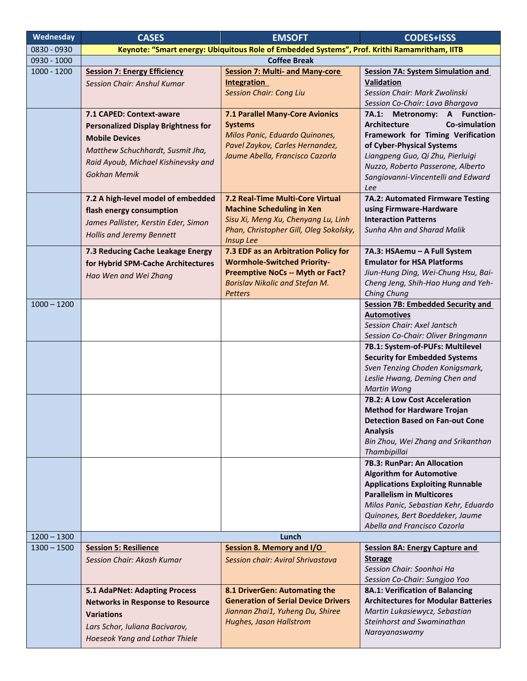| Wednesday     | <b>CASES</b>                               | <b>EMSOFT</b>                                                                                | <b>CODES+ISSS</b>                                                           |  |
|---------------|--------------------------------------------|----------------------------------------------------------------------------------------------|-----------------------------------------------------------------------------|--|
| 0830 - 0930   |                                            | Keynote: "Smart energy: Ubiquitous Role of Embedded Systems", Prof. Krithi Ramamritham, IITB |                                                                             |  |
| 0930 - 1000   | <b>Coffee Break</b>                        |                                                                                              |                                                                             |  |
| $1000 - 1200$ | <b>Session 7: Energy Efficiency</b>        | <b>Session 7: Multi- and Many-core</b>                                                       | <b>Session 7A: System Simulation and</b>                                    |  |
|               | <b>Session Chair: Anshul Kumar</b>         | <b>Integration</b>                                                                           | Validation                                                                  |  |
|               |                                            | <b>Session Chair: Cong Liu</b>                                                               | Session Chair: Mark Zwolinski                                               |  |
|               | 7.1 CAPED: Context-aware                   | 7.1 Parallel Many-Core Avionics                                                              | Session Co-Chair: Lava Bhargava<br>7A.1: Metronomy: A Function-             |  |
|               | <b>Personalized Display Brightness for</b> | <b>Systems</b>                                                                               | <b>Architecture</b><br>Co-simulation                                        |  |
|               | <b>Mobile Devices</b>                      | Milos Panic, Eduardo Quinones,                                                               | Framework for Timing Verification                                           |  |
|               |                                            | Pavel Zaykov, Carles Hernandez,                                                              | of Cyber-Physical Systems                                                   |  |
|               | Matthew Schuchhardt, Susmit Jha,           | Jaume Abella, Francisco Cazorla                                                              | Liangpeng Guo, Qi Zhu, Pierluigi                                            |  |
|               | Raid Ayoub, Michael Kishinevsky and        |                                                                                              | Nuzzo, Roberto Passerone, Alberto                                           |  |
|               | <b>Gokhan Memik</b>                        |                                                                                              | Sangiovanni-Vincentelli and Edward                                          |  |
|               |                                            |                                                                                              | Lee                                                                         |  |
|               | 7.2 A high-level model of embedded         | <b>7.2 Real-Time Multi-Core Virtual</b>                                                      | 7A.2: Automated Firmware Testing                                            |  |
|               | flash energy consumption                   | <b>Machine Scheduling in Xen</b><br>Sisu Xi, Meng Xu, Chenyang Lu, Linh                      | using Firmware-Hardware<br><b>Interaction Patterns</b>                      |  |
|               | James Pallister, Kerstin Eder, Simon       | Phan, Christopher Gill, Oleg Sokolsky,                                                       | Sunha Ahn and Sharad Malik                                                  |  |
|               | <b>Hollis and Jeremy Bennett</b>           | <b>Insup Lee</b>                                                                             |                                                                             |  |
|               | 7.3 Reducing Cache Leakage Energy          | 7.3 EDF as an Arbitration Policy for                                                         | 7A.3: HSAemu - A Full System                                                |  |
|               | for Hybrid SPM-Cache Architectures         | <b>Wormhole-Switched Priority-</b>                                                           | <b>Emulator for HSA Platforms</b>                                           |  |
|               | Hao Wen and Wei Zhang                      | <b>Preemptive NoCs -- Myth or Fact?</b>                                                      | Jiun-Hung Ding, Wei-Chung Hsu, Bai-                                         |  |
|               |                                            | <b>Borislav Nikolic and Stefan M.</b>                                                        | Cheng Jeng, Shih-Hao Hung and Yeh-                                          |  |
|               |                                            | <b>Petters</b>                                                                               | Ching Chung                                                                 |  |
| $1000 - 1200$ |                                            |                                                                                              | <b>Session 7B: Embedded Security and</b>                                    |  |
|               |                                            |                                                                                              | <b>Automotives</b><br>Session Chair: Axel Jantsch                           |  |
|               |                                            |                                                                                              | Session Co-Chair: Oliver Bringmann                                          |  |
|               |                                            |                                                                                              | 7B.1: System-of-PUFs: Multilevel                                            |  |
|               |                                            |                                                                                              | <b>Security for Embedded Systems</b>                                        |  |
|               |                                            |                                                                                              | Sven Tenzing Choden Konigsmark,                                             |  |
|               |                                            |                                                                                              | Leslie Hwang, Deming Chen and                                               |  |
|               |                                            |                                                                                              | <b>Martin Wong</b>                                                          |  |
|               |                                            |                                                                                              | 7B.2: A Low Cost Acceleration                                               |  |
|               |                                            |                                                                                              | <b>Method for Hardware Trojan</b><br><b>Detection Based on Fan-out Cone</b> |  |
|               |                                            |                                                                                              | <b>Analysis</b>                                                             |  |
|               |                                            |                                                                                              | Bin Zhou, Wei Zhang and Srikanthan                                          |  |
|               |                                            |                                                                                              | Thambipillai                                                                |  |
|               |                                            |                                                                                              | 7B.3: RunPar: An Allocation                                                 |  |
|               |                                            |                                                                                              | <b>Algorithm for Automotive</b>                                             |  |
|               |                                            |                                                                                              | <b>Applications Exploiting Runnable</b>                                     |  |
|               |                                            |                                                                                              | <b>Parallelism in Multicores</b>                                            |  |
|               |                                            |                                                                                              | Milos Panic, Sebastian Kehr, Eduardo<br>Quinones, Bert Boeddeker, Jaume     |  |
|               |                                            |                                                                                              | Abella and Francisco Cazorla                                                |  |
| $1200 - 1300$ |                                            | Lunch                                                                                        |                                                                             |  |
| $1300 - 1500$ | <b>Session 5: Resilience</b>               | Session 8. Memory and I/O                                                                    | <b>Session 8A: Energy Capture and</b>                                       |  |
|               | Session Chair: Akash Kumar                 | Session chair: Aviral Shrivastava                                                            | <b>Storage</b>                                                              |  |
|               |                                            |                                                                                              | Session Chair: Soonhoi Ha                                                   |  |
|               |                                            |                                                                                              | Session Co-Chair: Sungjoo Yoo                                               |  |
|               | 5.1 AdaPNet: Adapting Process              | 8.1 DriverGen: Automating the                                                                | 8A.1: Verification of Balancing                                             |  |
|               | <b>Networks in Response to Resource</b>    | <b>Generation of Serial Device Drivers</b>                                                   | <b>Architectures for Modular Batteries</b>                                  |  |
|               | <b>Variations</b>                          | Jiannan Zhai1, Yuheng Du, Shiree<br><b>Hughes, Jason Hallstrom</b>                           | Martin Lukasiewycz, Sebastian<br>Steinhorst and Swaminathan                 |  |
|               | Lars Schor, Iuliana Bacivarov,             |                                                                                              | Narayanaswamy                                                               |  |
|               | Hoeseok Yang and Lothar Thiele             |                                                                                              |                                                                             |  |